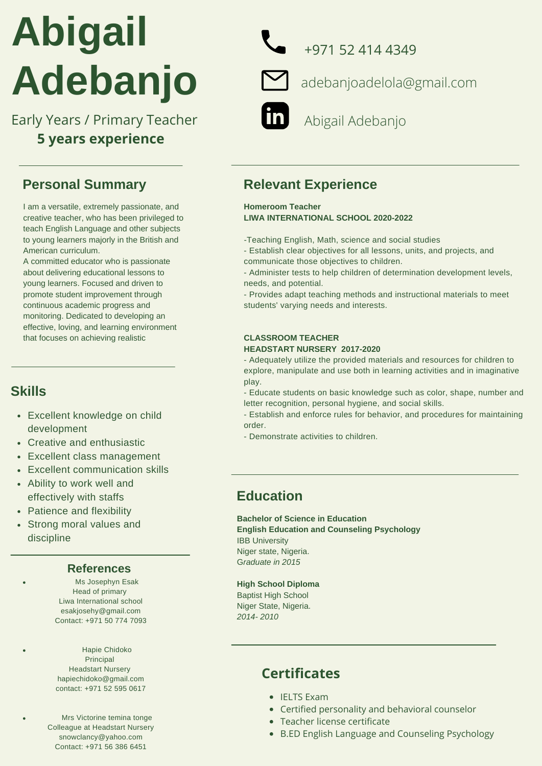# **Abigail Adebanjo**

Early Years / Primary Teacher **Abigail Adebanjo 5 years experience**

## **Personal Summary**

I am a versatile, extremely passionate, and creative teacher, who has been privileged to teach English Language and other subjects to young learners majorly in the British and American curriculum.

A committed educator who is passionate about delivering educational lessons to young learners. Focused and driven to promote student improvement through continuous academic progress and monitoring. Dedicated to developing an effective, loving, and learning environment that focuses on achieving realistic

# **Skills**

- Excellent knowledge on child development
- Creative and enthusiastic
- Excellent class management
- Excellent communication skills
- Ability to work well and effectively with staffs
- Patience and flexibility
- Strong moral values and discipline

#### **References**

Ms Josephyn Esak Head of primary Liwa International school [esakjosehy@gmail.com](mailto:esakjosehy@gmail.com) Contact: +971 50 774 7093

Hapie Chidoko Principal Headstart Nursery hapiechidoko@gmail.com contact: +971 52 595 0617

Mrs Victorine temina tonge Colleague at Headstart Nursery snowclancy@yahoo.com Contact: +971 56 386 6451

+971 52 414 4349



adebanjoadelola@gmail.com

# **Relevant Experience**

**Homeroom Teacher LIWA INTERNATIONAL SCHOOL 2020-2022**

*-*Teaching English, Math, science and social studies

- Establish clear objectives for all lessons, units, and projects, and communicate those objectives to children.

- Administer tests to help children of determination development levels, needs, and potential.

- Provides adapt teaching methods and instructional materials to meet students' varying needs and interests.

## **CLASSROOM TEACHER**

#### **HEADSTART NURSERY 2017-2020**

- Adequately utilize the provided materials and resources for children to explore, manipulate and use both in learning activities and in imaginative play.

- Educate students on basic knowledge such as color, shape, number and letter recognition, personal hygiene, and social skills.

- Establish and enforce rules for behavior, and procedures for maintaining order.

- Demonstrate activities to children.

# **Education**

**Bachelor of Science in Education English Education and Counseling Psychology** IBB University Niger state, Nigeria. G*raduate in 2015*

#### **High School Diploma**

Baptist High School Niger State, Nigeria. *2014- 2010*

# **Certificates**

- IELTS Exam
- Certified personality and behavioral counselor
- Teacher license certificate
- B.ED English Language and Counseling Psychology